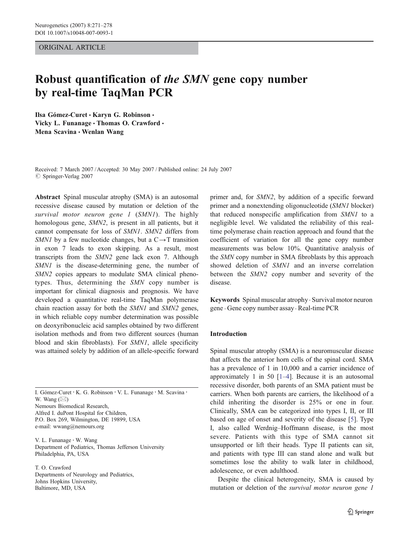ORIGINAL ARTICLE

# Robust quantification of the SMN gene copy number by real-time TaqMan PCR

Ilsa Gómez-Curet · Karyn G. Robinson · Vicky L. Funanage · Thomas O. Crawford · Mena Scavina • Wenlan Wang

Received: 7 March 2007 /Accepted: 30 May 2007 / Published online: 24 July 2007  $\oslash$  Springer-Verlag 2007

Abstract Spinal muscular atrophy (SMA) is an autosomal recessive disease caused by mutation or deletion of the survival motor neuron gene 1 (SMN1). The highly homologous gene, SMN2, is present in all patients, but it cannot compensate for loss of SMN1. SMN2 differs from SMN1 by a few nucleotide changes, but a  $C \rightarrow T$  transition in exon 7 leads to exon skipping. As a result, most transcripts from the SMN2 gene lack exon 7. Although SMN1 is the disease-determining gene, the number of SMN<sub>2</sub> copies appears to modulate SMA clinical phenotypes. Thus, determining the SMN copy number is important for clinical diagnosis and prognosis. We have developed a quantitative real-time TaqMan polymerase chain reaction assay for both the SMN1 and SMN2 genes, in which reliable copy number determination was possible on deoxyribonucleic acid samples obtained by two different isolation methods and from two different sources (human blood and skin fibroblasts). For SMN1, allele specificity was attained solely by addition of an allele-specific forward

I. Gómez-Curet : K. G. Robinson : V. L. Funanage : M. Scavina : **W.** Wang (⊠)

Nemours Biomedical Research, Alfred I. duPont Hospital for Children, P.O. Box 269, Wilmington, DE 19899, USA e-mail: wwang@nemours.org

V. L. Funanage : W. Wang Department of Pediatrics, Thomas Jefferson University Philadelphia, PA, USA

T. O. Crawford Departments of Neurology and Pediatrics, Johns Hopkins University, Baltimore, MD, USA

primer and, for SMN2, by addition of a specific forward primer and a nonextending oligonucleotide (SMN1 blocker) that reduced nonspecific amplification from SMN1 to a negligible level. We validated the reliability of this realtime polymerase chain reaction approach and found that the coefficient of variation for all the gene copy number measurements was below 10%. Quantitative analysis of the SMN copy number in SMA fibroblasts by this approach showed deletion of SMN1 and an inverse correlation between the SMN2 copy number and severity of the disease.

Keywords Spinal muscular atrophy. Survival motor neuron gene . Gene copy number assay . Real-time PCR

# Introduction

Spinal muscular atrophy (SMA) is a neuromuscular disease that affects the anterior horn cells of the spinal cord. SMA has a prevalence of 1 in 10,000 and a carrier incidence of approximately [1](#page-6-0) in 50  $[1-4]$  $[1-4]$ . Because it is an autosomal recessive disorder, both parents of an SMA patient must be carriers. When both parents are carriers, the likelihood of a child inheriting the disorder is 25% or one in four. Clinically, SMA can be categorized into types I, II, or III based on age of onset and severity of the disease [[5\]](#page-7-0). Type I, also called Werdnig–Hoffmann disease, is the most severe. Patients with this type of SMA cannot sit unsupported or lift their heads. Type II patients can sit, and patients with type III can stand alone and walk but sometimes lose the ability to walk later in childhood, adolescence, or even adulthood.

Despite the clinical heterogeneity, SMA is caused by mutation or deletion of the survival motor neuron gene 1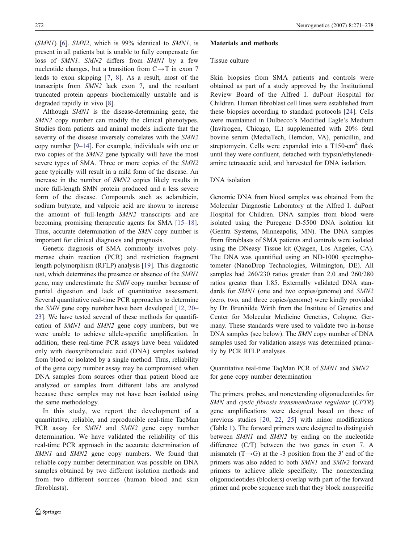<span id="page-1-0"></span>(SMN1) [\[6](#page-7-0)]. SMN2, which is 99% identical to SMN1, is present in all patients but is unable to fully compensate for loss of SMN1. SMN2 differs from SMN1 by a few nucleotide changes, but a transition from  $C \rightarrow T$  in exon 7 leads to exon skipping [\[7](#page-7-0), [8\]](#page-7-0). As a result, most of the transcripts from SMN2 lack exon 7, and the resultant truncated protein appears biochemically unstable and is degraded rapidly in vivo [\[8](#page-7-0)].

Although SMN1 is the disease-determining gene, the SMN2 copy number can modify the clinical phenotypes. Studies from patients and animal models indicate that the severity of the disease inversely correlates with the SMN2 copy number [\[9](#page-7-0)–[14](#page-7-0)]. For example, individuals with one or two copies of the SMN2 gene typically will have the most severe types of SMA. Three or more copies of the SMN2 gene typically will result in a mild form of the disease. An increase in the number of SMN2 copies likely results in more full-length SMN protein produced and a less severe form of the disease. Compounds such as aclarubicin, sodium butyrate, and valproic acid are shown to increase the amount of full-length SMN2 transcripts and are becoming promising therapeutic agents for SMA [\[15](#page-7-0)–[18](#page-7-0)]. Thus, accurate determination of the SMN copy number is important for clinical diagnosis and prognosis.

Genetic diagnosis of SMA commonly involves polymerase chain reaction (PCR) and restriction fragment length polymorphism (RFLP) analysis [[19\]](#page-7-0). This diagnostic test, which determines the presence or absence of the SMN1 gene, may underestimate the SMN copy number because of partial digestion and lack of quantitative assessment. Several quantitative real-time PCR approaches to determine the SMN gene copy number have been developed [\[12](#page-7-0), [20](#page-7-0)– [23](#page-7-0)]. We have tested several of these methods for quantification of SMN1 and SMN2 gene copy numbers, but we were unable to achieve allele-specific amplification. In addition, these real-time PCR assays have been validated only with deoxyribonucleic acid (DNA) samples isolated from blood or isolated by a single method. Thus, reliability of the gene copy number assay may be compromised when DNA samples from sources other than patient blood are analyzed or samples from different labs are analyzed because these samples may not have been isolated using the same methodology.

In this study, we report the development of a quantitative, reliable, and reproducible real-time TaqMan PCR assay for SMN1 and SMN2 gene copy number determination. We have validated the reliability of this real-time PCR approach in the accurate determination of SMN1 and SMN2 gene copy numbers. We found that reliable copy number determination was possible on DNA samples obtained by two different isolation methods and from two different sources (human blood and skin fibroblasts).

## Materials and methods

# Tissue culture

Skin biopsies from SMA patients and controls were obtained as part of a study approved by the Institutional Review Board of the Alfred I. duPont Hospital for Children. Human fibroblast cell lines were established from these biopsies according to standard protocols [\[24](#page-7-0)]. Cells were maintained in Dulbecco's Modified Eagle's Medium (Invitrogen, Chicago, IL) supplemented with 20% fetal bovine serum (MediaTech, Herndon, VA), penicillin, and streptomycin. Cells were expanded into a T150-cm<sup>2</sup> flask until they were confluent, detached with trypsin/ethylenediamine tetraacetic acid, and harvested for DNA isolation.

# DNA isolation

Genomic DNA from blood samples was obtained from the Molecular Diagnostic Laboratory at the Alfred I. duPont Hospital for Children. DNA samples from blood were isolated using the Puregene D-5500 DNA isolation kit (Gentra Systems, Minneapolis, MN). The DNA samples from fibroblasts of SMA patients and controls were isolated using the DNeasy Tissue kit (Qiagen, Los Angeles, CA). The DNA was quantified using an ND-1000 spectrophotometer (NanoDrop Technologies, Wilmington, DE). All samples had 260/230 ratios greater than 2.0 and 260/280 ratios greater than 1.85. Externally validated DNA standards for SMN1 (one and two copies/genome) and SMN2 (zero, two, and three copies/genome) were kindly provided by Dr. Brunhilde Wirth from the Institute of Genetics and Center for Molecular Medicine Genetics, Cologne, Germany. These standards were used to validate two in-house DNA samples (see below). The SMN copy number of DNA samples used for validation assays was determined primarily by PCR RFLP analyses.

Quantitative real-time TaqMan PCR of SMN1 and SMN2 for gene copy number determination

The primers, probes, and nonextending oligonucleotides for SMN and cystic fibrosis transmembrane regulator (CFTR) gene amplifications were designed based on those of previous studies [\[20](#page-7-0), [22](#page-7-0), [25\]](#page-7-0) with minor modifications (Table [1\)](#page-2-0). The forward primers were designed to distinguish between SMN1 and SMN2 by ending on the nucleotide difference (C/T) between the two genes in exon 7. A mismatch  $(T\rightarrow G)$  at the -3 position from the 3' end of the primers was also added to both SMN1 and SMN2 forward primers to achieve allele specificity. The nonextending oligonucleotides (blockers) overlap with part of the forward primer and probe sequence such that they block nonspecific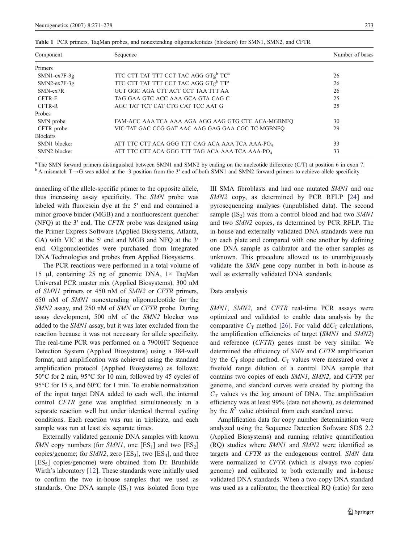| Component       | Sequence                                                     | Number of bases |  |
|-----------------|--------------------------------------------------------------|-----------------|--|
| <b>Primers</b>  |                                                              |                 |  |
| $SMN1-ex7F-3g$  | TTC CTT TAT TTT CCT TAC AGG GTg <sup>b</sup> TC <sup>a</sup> | 26              |  |
| $SMN2-ex7F-3g$  | TTC CTT TAT TTT CCT TAC AGG GTgb TTa                         | 26              |  |
| SMN-ex7R        | GCT GGC AGA CTT ACT CCT TAA TTT AA                           | 26              |  |
| CFTR-F          | TAG GAA GTC ACC AAA GCA GTA CAG C                            | 25              |  |
| CFTR-R          | AGC TAT TCT CAT CTG CAT TCC AAT G                            | 25              |  |
| Probes          |                                                              |                 |  |
| SMN probe       | FAM-ACC AAA TCA AAA AGA AGG AAG GTG CTC ACA-MGBNFO           | 30              |  |
| CFTR probe      | VIC-TAT GAC CCG GAT AAC AAG GAG GAA CGC TC-MGBNFO            | 29              |  |
| <b>Blockers</b> |                                                              |                 |  |
| SMN1 blocker    | ATT TTC CTT ACA GGG TTT CAG ACA AAA TCA AAA-PO <sub>4</sub>  | 33              |  |
| SMN2 blocker    | ATT TTC CTT ACA GGG TTT TAG ACA AAA TCA AAA-PO <sub>4</sub>  | 33              |  |

<span id="page-2-0"></span>Table 1 PCR primers, TaqMan probes, and nonextending oligonucleotides (blockers) for SMN1, SMN2, and CFTR

<sup>a</sup> The SMN forward primers distinguished between SMN1 and SMN2 by ending on the nucleotide difference (C/T) at position 6 in exon 7.  $b$  A mismatch T→G was added at the -3 position from the 3' end of both SMN1 and SMN2 forward primers to achieve allele specificity.

annealing of the allele-specific primer to the opposite allele, thus increasing assay specificity. The SMN probe was labeled with fluorescin dye at the 5′ end and contained a minor groove binder (MGB) and a nonfluorescent quencher (NFQ) at the 3′ end. The CFTR probe was designed using the Primer Express Software (Applied Biosystems, Atlanta, GA) with VIC at the 5′ end and MGB and NFQ at the 3′ end. Oligonucleotides were purchased from Integrated DNA Technologies and probes from Applied Biosystems.

The PCR reactions were performed in a total volume of 15 μl, containing 25 ng of genomic DNA, 1× TaqMan Universal PCR master mix (Applied Biosystems), 300 nM of SMN1 primers or 450 nM of SMN2 or CFTR primers, 650 nM of SMN1 nonextending oligonucleotide for the SMN2 assay, and 250 nM of SMN or CFTR probe. During assay development, 500 nM of the SMN2 blocker was added to the SMN1 assay, but it was later excluded from the reaction because it was not necessary for allele specificity. The real-time PCR was performed on a 7900HT Sequence Detection System (Applied Biosystems) using a 384-well format, and amplification was achieved using the standard amplification protocol (Applied Biosystems) as follows: 50°C for 2 min, 95°C for 10 min, followed by 45 cycles of 95 °C for 15 s, and 60 °C for 1 min. To enable normalization of the input target DNA added to each well, the internal control CFTR gene was amplified simultaneously in a separate reaction well but under identical thermal cycling conditions. Each reaction was run in triplicate, and each sample was run at least six separate times.

Externally validated genomic DNA samples with known SMN copy numbers (for SMN1, one  $[ES_1]$  and two  $[ES_2]$ copies/genome; for  $S$ *MN2*, zero [ES<sub>3</sub>], two [ES<sub>4</sub>], and three  $[ES<sub>5</sub>]$  copies/genome) were obtained from Dr. Brunhilde Wirth's laboratory [[12\]](#page-7-0). These standards were initially used to confirm the two in-house samples that we used as standards. One DNA sample  $(IS_1)$  was isolated from type III SMA fibroblasts and had one mutated SMN1 and one SMN2 copy, as determined by PCR RFLP [[24\]](#page-7-0) and pyrosequencing analyses (unpublished data). The second sample  $(IS_2)$  was from a control blood and had two SMN1 and two SMN2 copies, as determined by PCR RFLP. The in-house and externally validated DNA standards were run on each plate and compared with one another by defining one DNA sample as calibrator and the other samples as unknown. This procedure allowed us to unambiguously validate the SMN gene copy number in both in-house as well as externally validated DNA standards.

# Data analysis

SMN1, SMN2, and CFTR real-time PCR assays were optimized and validated to enable data analysis by the comparative  $C_T$  method [\[26](#page-7-0)]. For valid dd $C_T$  calculations, the amplification efficiencies of target (SMN1 and SMN2) and reference (CFTR) genes must be very similar. We determined the efficiency of SMN and CFTR amplification by the  $C_T$  slope method.  $C_T$  values were measured over a fivefold range dilution of a control DNA sample that contains two copies of each SMN1, SMN2, and CFTR per genome, and standard curves were created by plotting the  $C_T$  values vs the log amount of DNA. The amplification efficiency was at least 99% (data not shown), as determined by the  $R^2$  value obtained from each standard curve.

Amplification data for copy number determination were analyzed using the Sequence Detection Software SDS 2.2 (Applied Biosystems) and running relative quantification (RQ) studies where SMN1 and SMN2 were identified as targets and CFTR as the endogenous control. SMN data were normalized to CFTR (which is always two copies/ genome) and calibrated to both externally and in-house validated DNA standards. When a two-copy DNA standard was used as a calibrator, the theoretical RQ (ratio) for zero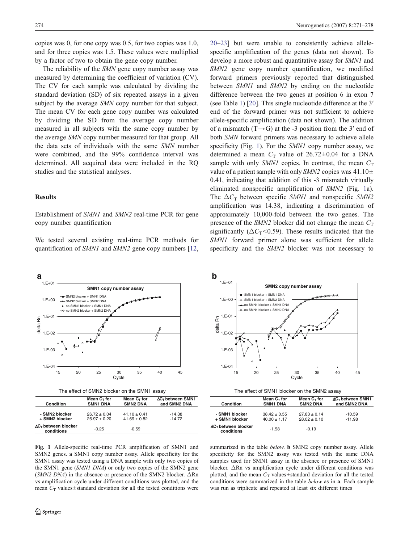<span id="page-3-0"></span>copies was 0, for one copy was 0.5, for two copies was 1.0, and for three copies was 1.5. These values were multiplied by a factor of two to obtain the gene copy number.

The reliability of the SMN gene copy number assay was measured by determining the coefficient of variation (CV). The CV for each sample was calculated by dividing the standard deviation (SD) of six repeated assays in a given subject by the average *SMN* copy number for that subject. The mean CV for each gene copy number was calculated by dividing the SD from the average copy number measured in all subjects with the same copy number by the average SMN copy number measured for that group. All the data sets of individuals with the same SMN number were combined, and the 99% confidence interval was determined. All acquired data were included in the RQ studies and the statistical analyses.

# Results

Establishment of SMN1 and SMN2 real-time PCR for gene copy number quantification

We tested several existing real-time PCR methods for quantification of SMN1 and SMN2 gene copy numbers [[12,](#page-7-0)



| vuinivii                         | <b>JIVIII</b> UNA | <b>JIIIIL DINA</b> | <b>AIN JIIN AIN</b> |
|----------------------------------|-------------------|--------------------|---------------------|
|                                  |                   |                    |                     |
| - SMN2 blocker                   | $26.72 \pm 0.04$  | $41.10 \pm 0.41$   | $-14.38$            |
| + SMN2 blocker                   | $26.97 \pm 0.20$  | $41.69 \pm 0.82$   | $-14.72$            |
| ΔC⊤between blocker<br>conditions | $-0.25$           | $-0.59$            |                     |

[20](#page-7-0)–[23](#page-7-0)] but were unable to consistently achieve allelespecific amplification of the genes (data not shown). To develop a more robust and quantitative assay for SMN1 and SMN2 gene copy number quantification, we modified forward primers previously reported that distinguished between SMN1 and SMN2 by ending on the nucleotide difference between the two genes at position 6 in exon 7 (see Table [1\)](#page-2-0) [[20\]](#page-7-0). This single nucleotide difference at the 3′ end of the forward primer was not sufficient to achieve allele-specific amplification (data not shown). The addition of a mismatch  $(T \rightarrow G)$  at the -3 position from the 3' end of both SMN forward primers was necessary to achieve allele specificity (Fig. 1). For the SMN1 copy number assay, we determined a mean  $C_T$  value of 26.72±0.04 for a DNA sample with only *SMN1* copies. In contrast, the mean  $C_T$ value of a patient sample with only SMN2 copies was  $41.10 \pm$ 0.41, indicating that addition of this -3 mismatch virtually eliminated nonspecific amplification of SMN2 (Fig. 1a). The  $\Delta C_{\rm T}$  between specific SMN1 and nonspecific SMN2 amplification was 14.38, indicating a discrimination of approximately 10,000-fold between the two genes. The presence of the SMN2 blocker did not change the mean  $C_T$ significantly ( $\Delta C_T$ <0.59). These results indicated that the SMN1 forward primer alone was sufficient for allele specificity and the SMN2 blocker was not necessary to



| The effect of SMN1 blocker on the SMN2 assay |  |
|----------------------------------------------|--|
|----------------------------------------------|--|

| Condition                        | Mean $C_T$ for   | Mean $C_T$ for   | ΔC <sub>τ</sub> between SMN1 |
|----------------------------------|------------------|------------------|------------------------------|
|                                  | <b>SMN1 DNA</b>  | <b>SMN2 DNA</b>  | and SMN2 DNA                 |
| - SMN1 blocker                   | $38.42 \pm 0.55$ | $27.83 \pm 0.14$ | $-10.59$                     |
| + SMN1 blocker                   | $40.00 \pm 1.17$ | $28.02 \pm 0.10$ | $-11.98$                     |
| ΔC⊤between blocker<br>conditions | $-1.58$          | $-0.19$          |                              |

Fig. 1 Allele-specific real-time PCR amplification of SMN1 and SMN2 genes. a SMN1 copy number assay. Allele specificity for the SMN1 assay was tested using a DNA sample with only two copies of the SMN1 gene (SMN1 DNA) or only two copies of the SMN2 gene (SMN2 DNA) in the absence or presence of the SMN2 blocker. <sup>Δ</sup>Rn vs amplification cycle under different conditions was plotted, and the mean  $C_T$  values $\pm$ standard deviation for all the tested conditions were summarized in the table below. **b** SMN2 copy number assay. Allele specificity for the SMN2 assay was tested with the same DNA samples used for SMN1 assay in the absence or presence of SMN1 blocker. ΔRn vs amplification cycle under different conditions was plotted, and the mean  $C_T$  values±standard deviation for all the tested conditions were summarized in the table below as in <sup>a</sup>. Each sample was run as triplicate and repeated at least six different times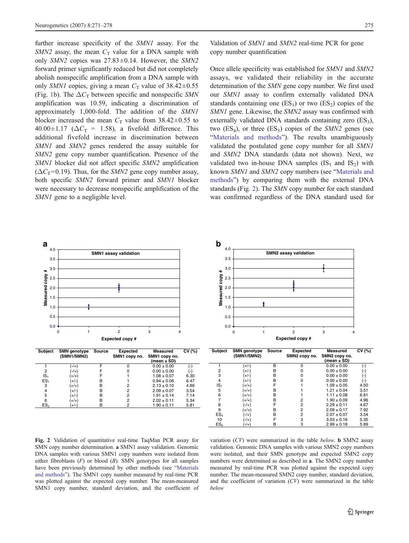<span id="page-4-0"></span>further increase specificity of the SMN1 assay. For the SMN2 assay, the mean  $C_T$  value for a DNA sample with only SMN2 copies was  $27.83 \pm 0.14$ . However, the SMN2 forward primer significantly reduced but did not completely abolish nonspecific amplification from a DNA sample with only SMN1 copies, giving a mean  $C_T$  value of 38.42 $\pm$ 0.55 (Fig. [1](#page-3-0)b). The  $\Delta C_{\rm T}$  between specific and nonspecific SMN amplification was 10.59, indicating a discrimination of approximately 1,000-fold. The addition of the SMN1 blocker increased the mean  $C_T$  value from 38.42 $\pm$ 0.55 to  $40.00 \pm 1.17$  ( $\Delta C_T = 1.58$ ), a fivefold difference. This additional fivefold increase in discrimination between SMN1 and SMN2 genes rendered the assay suitable for SMN2 gene copy number quantification. Presence of the SMN1 blocker did not affect specific SMN2 amplification  $(\Delta C_{\rm T} = 0.19)$ . Thus, for the SMN2 gene copy number assay, both specific SMN2 forward primer and SMN1 blocker were necessary to decrease nonspecific amplification of the SMN1 gene to a negligible level.

Validation of SMN1 and SMN2 real-time PCR for gene copy number quantification

Once allele specificity was established for SMN1 and SMN2 assays, we validated their reliability in the accurate determination of the SMN gene copy number. We first used our SMN1 assay to confirm externally validated DNA standards containing one  $(ES_1)$  or two  $(ES_2)$  copies of the SMN1 gene. Likewise, the SMN2 assay was confirmed with externally validated DNA standards containing zero  $(ES_3)$ , two  $(ES_4)$ , or three  $(ES_5)$  copies of the SMN2 genes (see "[Materials and methods](#page-1-0)"). The results unambiguously validated the postulated gene copy number for all SMN1 and SMN2 DNA standards (data not shown). Next, we validated two in-house DNA samples  $(IS_1 \text{ and } IS_2)$  with known SMN1 and SMN2 copy numbers (see "[Materials and](#page-1-0) [methods](#page-1-0)") by comparing them with the external DNA standards (Fig. 2). The SMN copy number for each standard was confirmed regardless of the DNA standard used for





Fig. 2 Validation of quantitative real-time TaqMan PCR assay for SMN copy number determination. a SMN1 assay validation. Genomic DNA samples with various SMN1 copy numbers were isolated from either fibroblasts  $(F)$  or blood  $(B)$ . SMN genotypes for all samples have been previously determined by other methods (see "[Materials](#page-1-0) [and methods](#page-1-0)"). The SMN1 copy number measured by real-time PCR was plotted against the expected copy number. The mean-measured SMN1 copy number, standard deviation, and the coefficient of variation  $(CV)$  were summarized in the table *below*. **b** SMN2 assay validation. Genomic DNA samples with various SMN2 copy numbers were isolated, and their SMN genotype and expected SMN2 copy numbers were determined as described in a. The SMN2 copy number measured by real-time PCR was plotted against the expected copy number. The mean-measured SMN2 copy number, standard deviation, and the coefficient of variation  $(CV)$  were summarized in the table *below* 

10  $(\frac{1}{4})$  F 3  $3.03 \pm 0.16$ <br>ES<sub>5</sub>  $(\frac{1}{4})$  B 3  $2.99 \pm 0.18$ 

 $(-/+)$  $(-/+)$ 

 $2.99 \pm 0.18$  5.89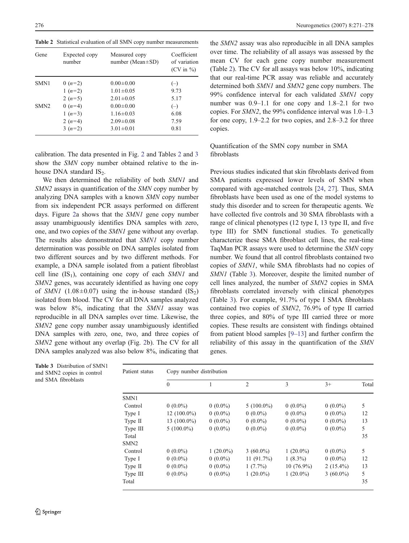Table 2 Statistical evaluation of all SMN copy number measurements

| Gene             | Expected copy<br>number | Measured copy<br>number (Mean $\pm$ SD) | Coefficient<br>of variation<br>$(CV \text{ in } \%)$ |
|------------------|-------------------------|-----------------------------------------|------------------------------------------------------|
| SMN1             | 0 $(n=2)$               | $0.00 \pm 0.00$                         | $(-)$                                                |
|                  | $1(n=2)$                | $1.01 \pm 0.05$                         | 9.73                                                 |
|                  | 2 $(n=5)$               | $2.01 \pm 0.05$                         | 5.17                                                 |
| SMN <sub>2</sub> | 0 $(n=4)$               | $0.00 \pm 0.00$                         | $(-)$                                                |
|                  | 1 $(n=3)$               | $1.16 \pm 0.03$                         | 6.08                                                 |
|                  | 2 $(n=4)$               | $2.09 \pm 0.08$                         | 7.59                                                 |
|                  | $3(n=2)$                | $3.01 \pm 0.01$                         | 0.81                                                 |

calibration. The data presented in Fig. [2](#page-4-0) and Tables 2 and 3 show the SMN copy number obtained relative to the inhouse DNA standard  $IS<sub>2</sub>$ .

We then determined the reliability of both SMN1 and SMN2 assays in quantification of the SMN copy number by analyzing DNA samples with a known SMN copy number from six independent PCR assays performed on different days. Figure [2a](#page-4-0) shows that the SMN1 gene copy number assay unambiguously identifies DNA samples with zero, one, and two copies of the SMN1 gene without any overlap. The results also demonstrated that SMN1 copy number determination was possible on DNA samples isolated from two different sources and by two different methods. For example, a DNA sample isolated from a patient fibroblast cell line  $(IS_1)$ , containing one copy of each SMN1 and SMN2 genes, was accurately identified as having one copy of SMN1 (1.08 $\pm$ 0.07) using the in-house standard (IS<sub>2</sub>) isolated from blood. The CV for all DNA samples analyzed was below 8%, indicating that the SMN1 assay was reproducible in all DNA samples over time. Likewise, the SMN2 gene copy number assay unambiguously identified DNA samples with zero, one, two, and three copies of SMN2 gene without any overlap (Fig. [2b](#page-4-0)). The CV for all DNA samples analyzed was also below 8%, indicating that

the SMN2 assay was also reproducible in all DNA samples over time. The reliability of all assays was assessed by the mean CV for each gene copy number measurement (Table 2). The CV for all assays was below 10%, indicating that our real-time PCR assay was reliable and accurately determined both SMN1 and SMN2 gene copy numbers. The 99% confidence interval for each validated SMN1 copy number was 0.9–1.1 for one copy and 1.8–2.1 for two copies. For SMN2, the 99% confidence interval was 1.0–1.3 for one copy, 1.9–2.2 for two copies, and 2.8–3.2 for three copies.

Quantification of the SMN copy number in SMA fibroblasts

Previous studies indicated that skin fibroblasts derived from SMA patients expressed lower levels of SMN when compared with age-matched controls [[24,](#page-7-0) [27\]](#page-7-0). Thus, SMA fibroblasts have been used as one of the model systems to study this disorder and to screen for therapeutic agents. We have collected five controls and 30 SMA fibroblasts with a range of clinical phenotypes (12 type I, 13 type II, and five type III) for SMN functional studies. To genetically characterize these SMA fibroblast cell lines, the real-time TaqMan PCR assays were used to determine the SMN copy number. We found that all control fibroblasts contained two copies of SMN1, while SMA fibroblasts had no copies of SMN1 (Table 3). Moreover, despite the limited number of cell lines analyzed, the number of SMN2 copies in SMA fibroblasts correlated inversely with clinical phenotypes (Table 3). For example, 91.7% of type I SMA fibroblasts contained two copies of SMN2, 76.9% of type II carried three copies, and 80% of type III carried three or more copies. These results are consistent with findings obtained from patient blood samples [\[9](#page-7-0)–[13](#page-7-0)] and further confirm the reliability of this assay in the quantification of the SMN genes.

| Patient status   | Copy number distribution |             |              |              |             |       |
|------------------|--------------------------|-------------|--------------|--------------|-------------|-------|
|                  | $\theta$                 |             | 2            | 3            | $3+$        | Total |
| SMN1             |                          |             |              |              |             |       |
| Control          | $0(0.0\%)$               | $0(0.0\%)$  | $5(100.0\%)$ | $0(0.0\%)$   | $0(0.0\%)$  | 5     |
| Type I           | $12(100.0\%)$            | $0(0.0\%)$  | $0(0.0\%)$   | $0(0.0\%)$   | $0(0.0\%)$  | 12    |
| Type II          | 13 $(100.0\%)$           | $0(0.0\%)$  | $0(0.0\%)$   | $0(0.0\%)$   | $0(0.0\%)$  | 13    |
| Type III         | $5(100.0\%)$             | $0(0.0\%)$  | $0(0.0\%)$   | $0(0.0\%)$   | $0(0.0\%)$  | 5     |
| Total            |                          |             |              |              |             | 35    |
| SMN <sub>2</sub> |                          |             |              |              |             |       |
| Control          | $0(0.0\%)$               | $1(20.0\%)$ | 3 $(60.0\%)$ | 1 $(20.0\%)$ | $0(0.0\%)$  | 5     |
| Type I           | $0(0.0\%)$               | $0(0.0\%)$  | $11(91.7\%)$ | $1(8.3\%)$   | $0(0.0\%)$  | 12    |
| Type II          | $0(0.0\%)$               | $0(0.0\%)$  | $1(7.7\%)$   | $10(76.9\%)$ | $2(15.4\%)$ | 13    |
| Type III         | $0(0.0\%)$               | $0(0.0\%)$  | $1(20.0\%)$  | $1(20.0\%)$  | $3(60.0\%)$ | 5     |
| Total            |                          |             |              |              |             | 35    |

Table 3 Distribution of SMN1 and SMN2 copies in control and SMA fibroblasts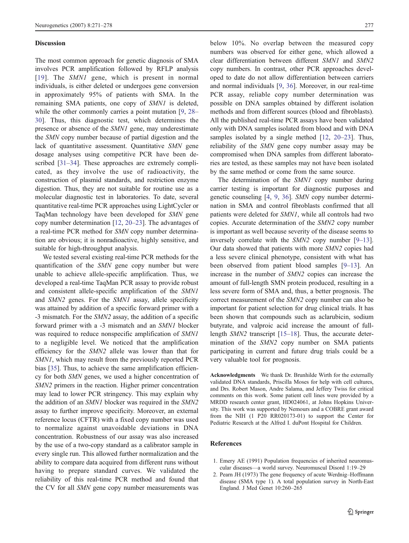### <span id="page-6-0"></span>**Discussion**

The most common approach for genetic diagnosis of SMA involves PCR amplification followed by RFLP analysis [[19](#page-7-0)]. The SMN1 gene, which is present in normal individuals, is either deleted or undergoes gene conversion in approximately 95% of patients with SMA. In the remaining SMA patients, one copy of SMN1 is deleted, while the other commonly carries a point mutation [\[9](#page-7-0), [28](#page-7-0)– [30](#page-7-0)]. Thus, this diagnostic test, which determines the presence or absence of the SMN1 gene, may underestimate the SMN copy number because of partial digestion and the lack of quantitative assessment. Quantitative SMN gene dosage analyses using competitive PCR have been described [[31](#page-7-0)–[34\]](#page-7-0). These approaches are extremely complicated, as they involve the use of radioactivity, the construction of plasmid standards, and restriction enzyme digestion. Thus, they are not suitable for routine use as a molecular diagnostic test in laboratories. To date, several quantitative real-time PCR approaches using LightCycler or TaqMan technology have been developed for SMN gene copy number determination [\[12](#page-7-0), [20](#page-7-0)–[23](#page-7-0)]. The advantages of a real-time PCR method for SMN copy number determination are obvious; it is nonradioactive, highly sensitive, and suitable for high-throughput analysis.

We tested several existing real-time PCR methods for the quantification of the SMN gene copy number but were unable to achieve allele-specific amplification. Thus, we developed a real-time TaqMan PCR assay to provide robust and consistent allele-specific amplification of the SMN1 and SMN2 genes. For the SMN1 assay, allele specificity was attained by addition of a specific forward primer with a -3 mismatch. For the SMN2 assay, the addition of a specific forward primer with a -3 mismatch and an SMN1 blocker was required to reduce nonspecific amplification of SMN1 to a negligible level. We noticed that the amplification efficiency for the SMN2 allele was lower than that for SMN1, which may result from the previously reported PCR bias [\[35](#page-7-0)]. Thus, to achieve the same amplification efficiency for both SMN genes, we used a higher concentration of SMN2 primers in the reaction. Higher primer concentration may lead to lower PCR stringency. This may explain why the addition of an SMN1 blocker was required in the SMN2 assay to further improve specificity. Moreover, an external reference locus (CFTR) with a fixed copy number was used to normalize against unavoidable deviations in DNA concentration. Robustness of our assay was also increased by the use of a two-copy standard as a calibrator sample in every single run. This allowed further normalization and the ability to compare data acquired from different runs without having to prepare standard curves. We validated the reliability of this real-time PCR method and found that the CV for all SMN gene copy number measurements was

below 10%. No overlap between the measured copy numbers was observed for either gene, which allowed a clear differentiation between different SMN1 and SMN2 copy numbers. In contrast, other PCR approaches developed to date do not allow differentiation between carriers and normal individuals [\[9](#page-7-0), [36](#page-7-0)]. Moreover, in our real-time PCR assay, reliable copy number determination was possible on DNA samples obtained by different isolation methods and from different sources (blood and fibroblasts). All the published real-time PCR assays have been validated only with DNA samples isolated from blood and with DNA samples isolated by a single method [[12,](#page-7-0) [20](#page-7-0)–[23](#page-7-0)]. Thus, reliability of the SMN gene copy number assay may be compromised when DNA samples from different laboratories are tested, as these samples may not have been isolated by the same method or come from the same source.

The determination of the SMN1 copy number during carrier testing is important for diagnostic purposes and genetic counseling [\[4](#page-7-0), [9,](#page-7-0) [36\]](#page-7-0). SMN copy number determination in SMA and control fibroblasts confirmed that all patients were deleted for SMN1, while all controls had two copies. Accurate determination of the SMN2 copy number is important as well because severity of the disease seems to inversely correlate with the SMN2 copy number [[9](#page-7-0)–[13\]](#page-7-0). Our data showed that patients with more SMN2 copies had a less severe clinical phenotype, consistent with what has been observed from patient blood samples [\[9](#page-7-0)–[13](#page-7-0)]. An increase in the number of SMN2 copies can increase the amount of full-length SMN protein produced, resulting in a less severe form of SMA and, thus, a better prognosis. The correct measurement of the SMN2 copy number can also be important for patient selection for drug clinical trials. It has been shown that compounds such as aclarubicin, sodium butyrate, and valproic acid increase the amount of fulllength SMN2 transcript [[15](#page-7-0)–[18\]](#page-7-0). Thus, the accurate determination of the SMN2 copy number on SMA patients participating in current and future drug trials could be a very valuable tool for prognosis.

Acknowledgments We thank Dr. Brunhilde Wirth for the externally validated DNA standards, Priscilla Moses for help with cell cultures, and Drs. Robert Mason, Andre Salama, and Jeffery Twiss for critical comments on this work. Some patient cell lines were provided by a MRDD research center grant, HD024061, at Johns Hopkins University. This work was supported by Nemours and a COBRE grant award from the NIH (1 P20 RR020173-01) to support the Center for Pediatric Research at the Alfred I. duPont Hospital for Children.

#### References

- 1. Emery AE (1991) Population frequencies of inherited neuromuscular diseases—a world survey. Neuromuscul Disord 1:19–29
- 2. Pearn JH (1973) The gene frequency of acute Werdnig–Hoffmann disease (SMA type 1). A total population survey in North-East England. J Med Genet 10:260–265